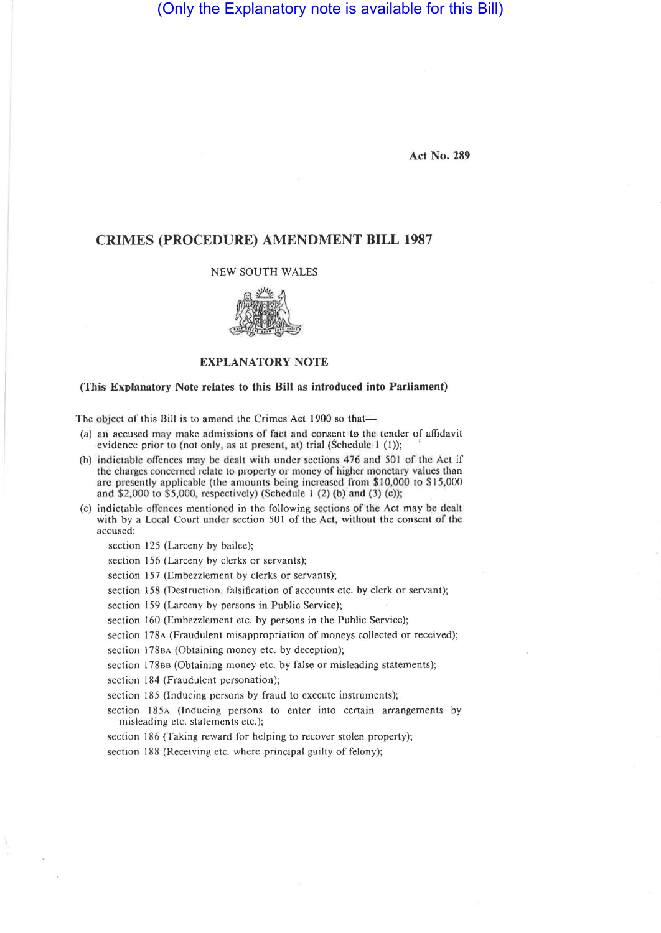(Only the Explanatory note is available for this Bill)

**Act No. 289** 

## **CRIMES (PROCEDURE) AMENDMENT BILL 1987**

NEW SOUTH WALES



## **EXPLANATORY NOTE**

## **(This Explanatory Note relates to this Bill as introduced into Parliament)**

The object of this Bill is to amend the Crimes Act 1900 so that—

- (a) an accused may make admissions of fact and consent to the tender of affidavit evidence prior to (not only, as at present, at) trial (Schedule 1 (1));
- (b) indictable offcnces may be dealt with under sections 476 and 501 of the Act if the charges concerned relate to property or money of higher monetary values than arc presently applicable (the amounts being increased from \$10,000 to \$15,000 and \$2,000 to \$5,000, respectively) (Schedule 1 (2) (b) and (3) (c));
- (c) indictable offences mentioned in the following sections of the Act may be dealt with by a Local Court under section 501 of the Act, without the consent of the accused:

section 125 (Larceny by bailee);

- section 156 (Larceny by clerks or servants);
- section 157 (Embezzlement by clerks or servants);
- section 158 (Destruction, falsification of accounts etc. by clerk or servant);
- section 159 (Larceny by persons in Public Service);
- section 160 (Embezzlement etc. by persons in the Public Service);
- section 178A (Fraudulent misappropriation of moneys collected or received);
- section 178BA (Obtaining money etc. by deception);
- section 178BB (Obtaining money etc. by false or misleading statements);
- section 184 (Fraudulent personation);
- section 185 (Inducing persons by fraud to execute instruments);
- section 185A (Inducing persons to enter into certain arrangements by misleading etc. statements etc.);
- section 186 (Taking reward for helping to recover stolen property);
- section 188 (Receiving etc. where principal guilty of felony);